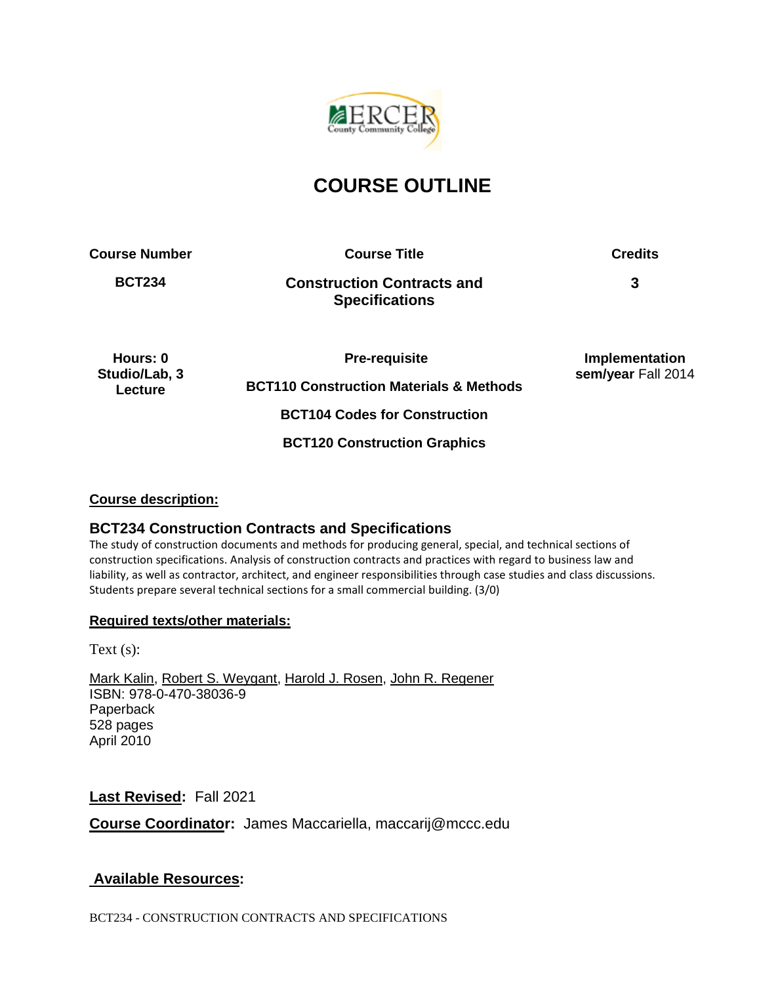

# **COURSE OUTLINE**

**Course Number Course Title Credits**

**BCT234 Construction Contracts and Specifications**

**3**

**Hours: 0 Studio/Lab, 3 Lecture**

**Pre-requisite** 

**BCT110 Construction Materials & Methods**

**Implementation sem/year** Fall 2014

**BCT104 Codes for Construction**

**BCT120 Construction Graphics**

## **Course description:**

# **BCT234 Construction Contracts and Specifications**

The study of construction documents and methods for producing general, special, and technical sections of construction specifications. Analysis of construction contracts and practices with regard to business law and liability, as well as contractor, architect, and engineer responsibilities through case studies and class discussions. Students prepare several technical sections for a small commercial building. (3/0)

## **Required texts/other materials:**

Text (s):

[Mark Kalin,](http://www.wiley.com/WileyCDA/Section/id-302475.html?query=Mark+Kalin) [Robert S. Weygant,](http://www.wiley.com/WileyCDA/Section/id-302475.html?query=Robert+S.+Weygant) [Harold J. Rosen,](http://www.wiley.com/WileyCDA/Section/id-302475.html?query=Harold+J.+Rosen) [John R. Regener](http://www.wiley.com/WileyCDA/Section/id-302475.html?query=John+R.+Regener) ISBN: 978-0-470-38036-9 Paperback 528 pages April 2010

**Last Revised:** Fall 2021

**Course Coordinator:** James Maccariella, maccarij@mccc.edu

# **Available Resources:**

BCT234 - CONSTRUCTION CONTRACTS AND SPECIFICATIONS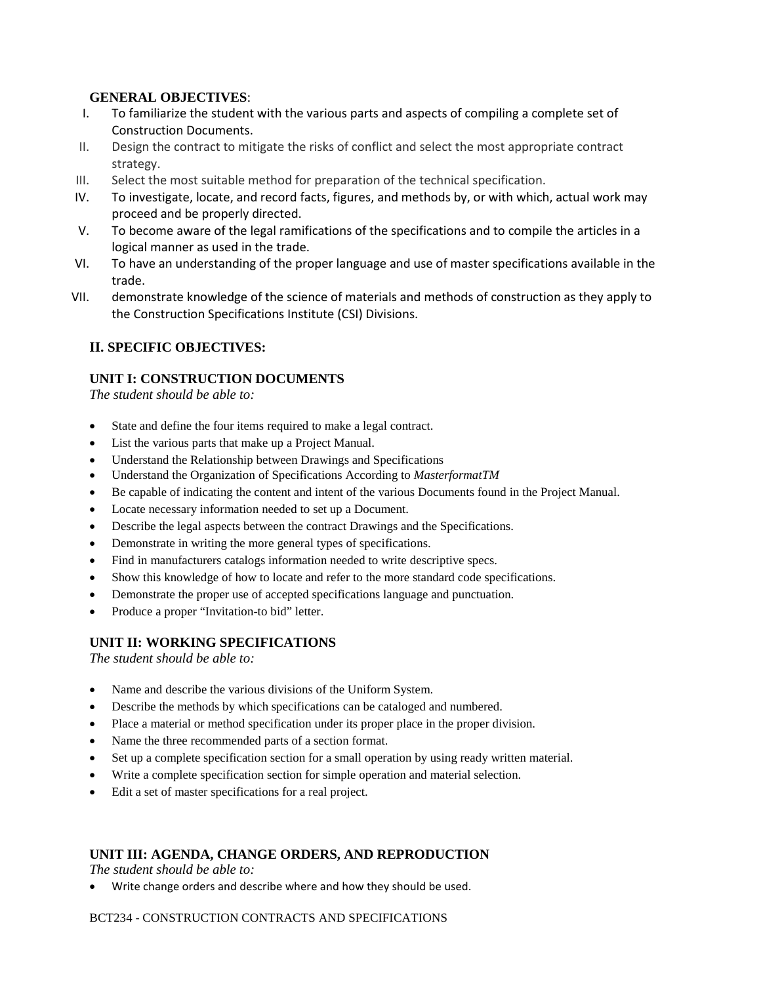### **GENERAL OBJECTIVES**:

- I. To familiarize the student with the various parts and aspects of compiling a complete set of Construction Documents.
- II. Design the contract to mitigate the risks of conflict and select the most appropriate contract strategy.
- III. Select the most suitable method for preparation of the technical specification.
- IV. To investigate, locate, and record facts, figures, and methods by, or with which, actual work may proceed and be properly directed.
- V. To become aware of the legal ramifications of the specifications and to compile the articles in a logical manner as used in the trade.
- VI. To have an understanding of the proper language and use of master specifications available in the trade.
- VII. demonstrate knowledge of the science of materials and methods of construction as they apply to the Construction Specifications Institute (CSI) Divisions.

## **II. SPECIFIC OBJECTIVES:**

## **UNIT I: CONSTRUCTION DOCUMENTS**

*The student should be able to:*

- State and define the four items required to make a legal contract.
- List the various parts that make up a Project Manual.
- Understand the Relationship between Drawings and Specifications
- Understand the Organization of Specifications According to *MasterformatTM*
- Be capable of indicating the content and intent of the various Documents found in the Project Manual.
- Locate necessary information needed to set up a Document.
- Describe the legal aspects between the contract Drawings and the Specifications.
- Demonstrate in writing the more general types of specifications.
- Find in manufacturers catalogs information needed to write descriptive specs.
- Show this knowledge of how to locate and refer to the more standard code specifications.
- Demonstrate the proper use of accepted specifications language and punctuation.
- Produce a proper "Invitation-to bid" letter.

## **UNIT II: WORKING SPECIFICATIONS**

*The student should be able to:*

- Name and describe the various divisions of the Uniform System.
- Describe the methods by which specifications can be cataloged and numbered.
- Place a material or method specification under its proper place in the proper division.
- Name the three recommended parts of a section format.
- Set up a complete specification section for a small operation by using ready written material.
- Write a complete specification section for simple operation and material selection.
- Edit a set of master specifications for a real project.

## **UNIT III: AGENDA, CHANGE ORDERS, AND REPRODUCTION**

*The student should be able to:*

• Write change orders and describe where and how they should be used.

#### BCT234 - CONSTRUCTION CONTRACTS AND SPECIFICATIONS